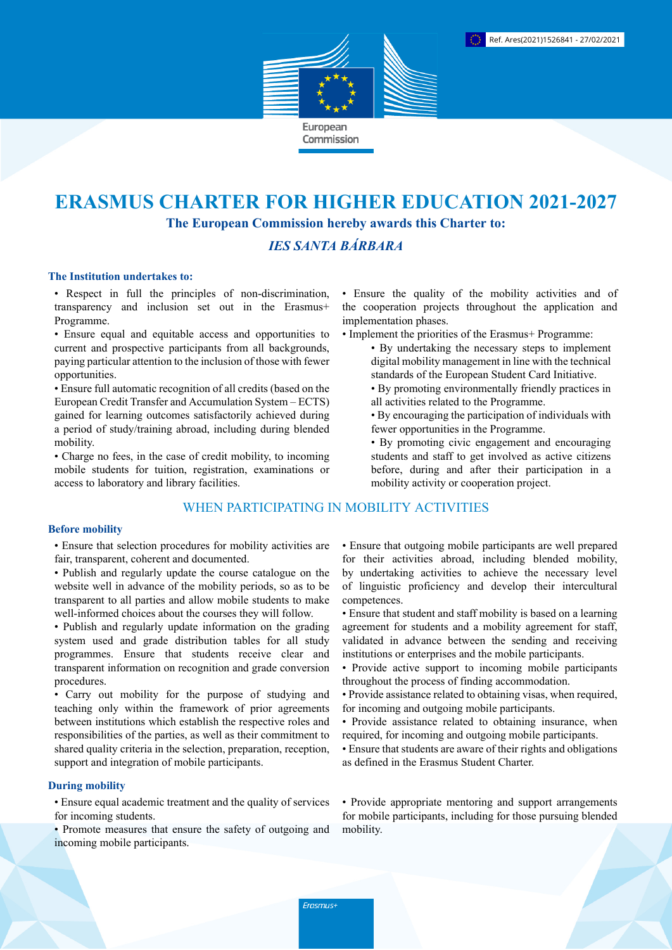

# **ERASMUS CHARTER FOR HIGHER EDUCATION 2021-2027 The European Commission hereby awards this Charter to:**

# *IES SANTA BÁRBARA*

### **The Institution undertakes to:**

• Respect in full the principles of non-discrimination, transparency and inclusion set out in the Erasmus+ Programme.

• Ensure equal and equitable access and opportunities to current and prospective participants from all backgrounds, paying particular attention to the inclusion of those with fewer opportunities.

• Ensure full automatic recognition of all credits (based on the European Credit Transfer and Accumulation System – ECTS) gained for learning outcomes satisfactorily achieved during a period of study/training abroad, including during blended mobility.

• Charge no fees, in the case of credit mobility, to incoming mobile students for tuition, registration, examinations or access to laboratory and library facilities.

# WHEN PARTICIPATING IN MOBILITY ACTIVITIES

#### **Before mobility**

• Ensure that selection procedures for mobility activities are fair, transparent, coherent and documented.

- Publish and regularly update the course catalogue on the website well in advance of the mobility periods, so as to be transparent to all parties and allow mobile students to make well-informed choices about the courses they will follow.
- Publish and regularly update information on the grading system used and grade distribution tables for all study programmes. Ensure that students receive clear and transparent information on recognition and grade conversion procedures.

• Carry out mobility for the purpose of studying and teaching only within the framework of prior agreements between institutions which establish the respective roles and responsibilities of the parties, as well as their commitment to shared quality criteria in the selection, preparation, reception, support and integration of mobile participants.

## **During mobility**

• Ensure equal academic treatment and the quality of services for incoming students.

• Promote measures that ensure the safety of outgoing and incoming mobile participants.

• Ensure the quality of the mobility activities and of the cooperation projects throughout the application and implementation phases.

- Implement the priorities of the Erasmus+ Programme:
	- By undertaking the necessary steps to implement digital mobility management in line with the technical standards of the European Student Card Initiative.
	- By promoting environmentally friendly practices in all activities related to the Programme.
	- By encouraging the participation of individuals with fewer opportunities in the Programme.
	- By promoting civic engagement and encouraging students and staff to get involved as active citizens before, during and after their participation in a mobility activity or cooperation project.

• Ensure that outgoing mobile participants are well prepared for their activities abroad, including blended mobility, by undertaking activities to achieve the necessary level of linguistic proficiency and develop their intercultural competences.

- Ensure that student and staff mobility is based on a learning agreement for students and a mobility agreement for staff, validated in advance between the sending and receiving institutions or enterprises and the mobile participants.
- Provide active support to incoming mobile participants throughout the process of finding accommodation.
- Provide assistance related to obtaining visas, when required, for incoming and outgoing mobile participants.
- Provide assistance related to obtaining insurance, when required, for incoming and outgoing mobile participants.
- Ensure that students are aware of their rights and obligations as defined in the Erasmus Student Charter.

• Provide appropriate mentoring and support arrangements for mobile participants, including for those pursuing blended mobility.

Erasmus+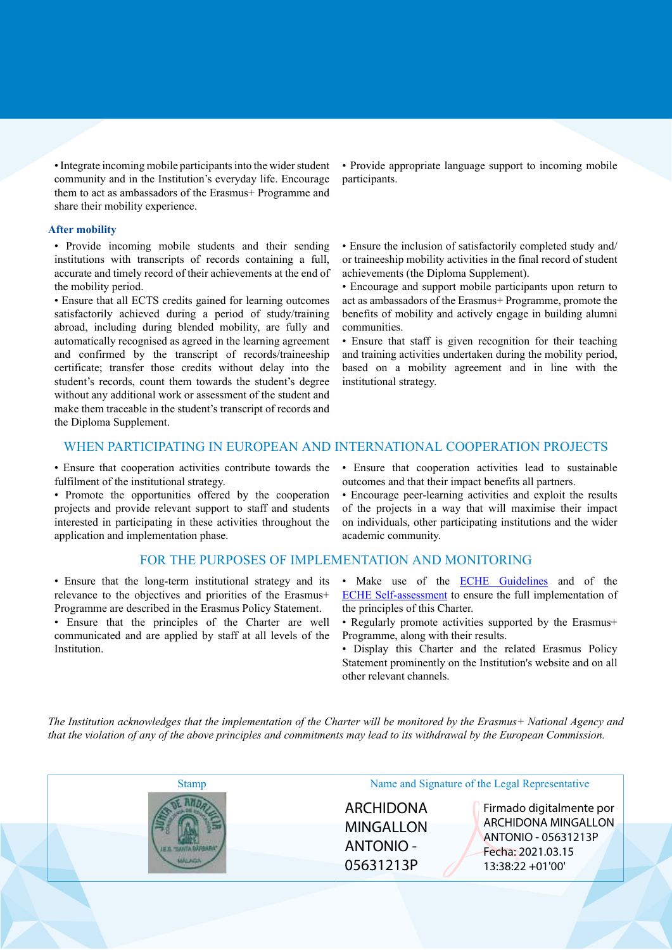• Integrate incoming mobile participants into the wider student community and in the Institution's everyday life. Encourage them to act as ambassadors of the Erasmus+ Programme and share their mobility experience.

#### **After mobility**

• Provide incoming mobile students and their sending institutions with transcripts of records containing a full, accurate and timely record of their achievements at the end of the mobility period.

• Ensure that all ECTS credits gained for learning outcomes satisfactorily achieved during a period of study/training abroad, including during blended mobility, are fully and automatically recognised as agreed in the learning agreement and confirmed by the transcript of records/traineeship certificate; transfer those credits without delay into the student's records, count them towards the student's degree without any additional work or assessment of the student and make them traceable in the student's transcript of records and the Diploma Supplement.

• Provide appropriate language support to incoming mobile participants.

• Ensure the inclusion of satisfactorily completed study and/ or traineeship mobility activities in the final record of student achievements (the Diploma Supplement).

• Encourage and support mobile participants upon return to act as ambassadors of the Erasmus+ Programme, promote the benefits of mobility and actively engage in building alumni communities.

• Ensure that staff is given recognition for their teaching and training activities undertaken during the mobility period, based on a mobility agreement and in line with the institutional strategy.

## WHEN PARTICIPATING IN EUROPEAN AND INTERNATIONAL COOPERATION PROJECTS

• Ensure that cooperation activities contribute towards the fulfilment of the institutional strategy.

• Promote the opportunities offered by the cooperation projects and provide relevant support to staff and students interested in participating in these activities throughout the application and implementation phase.

#### FOR THE PURPOSES OF IMPLEMENTATION AND MONITORING

• Ensure that the long-term institutional strategy and its relevance to the objectives and priorities of the Erasmus+ Programme are described in the Erasmus Policy Statement.

• Ensure that the principles of the Charter are well communicated and are applied by staff at all levels of the Institution.

• Ensure that cooperation activities lead to sustainable outcomes and that their impact benefits all partners.

• Encourage peer-learning activities and exploit the results of the projects in a way that will maximise their impact on individuals, other participating institutions and the wider academic community.

- Make use of the **ECHE Guidelines** and of the [ECHE Self-assessment](https://ec.europa.eu/programmes/erasmus-plus/eche/start_en) to ensure the full implementation of the principles of this Charter.
- Regularly promote activities supported by the Erasmus+ Programme, along with their results.
- Display this Charter and the related Erasmus Policy Statement prominently on the Institution's website and on all other relevant channels.

The Institution acknowledges that the implementation of the Charter will be monitored by the Erasmus+ National Agency and that the violation of any of the above principles and commitments may lead to its withdrawal by the European Commission.